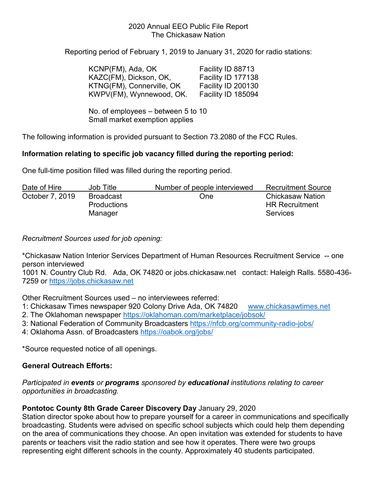#### 2020 Annual EEO Public File Report The Chickasaw Nation

Reporting period of February 1, 2019 to January 31, 2020 for radio stations:

| KCNP(FM), Ada, OK         | Facility ID 88713  |
|---------------------------|--------------------|
| KAZC(FM), Dickson, OK,    | Facility ID 177138 |
| KTNG(FM), Connerville, OK | Facility ID 200130 |
| KWPV(FM), Wynnewood, OK.  | Facility ID 185094 |

No. of employees – between 5 to 10 Small market exemption applies

The following information is provided pursuant to Section 73.2080 of the FCC Rules.

### **Information relating to specific job vacancy filled during the reporting period:**

One full-time position filled was filled during the reporting period.

| Date of Hire    | Job Title                                  | Number of people interviewed | <b>Recruitment Source</b>                                           |
|-----------------|--------------------------------------------|------------------------------|---------------------------------------------------------------------|
| October 7, 2019 | Broadcast<br><b>Productions</b><br>Manager | One                          | <b>Chickasaw Nation</b><br><b>HR Recruitment</b><br><b>Services</b> |
|                 |                                            |                              |                                                                     |

*Recruitment Sources used for job opening:* 

\*Chickasaw Nation Interior Services Department of Human Resources Recruitment Service -- one person interviewed

1001 N. Country Club Rd. Ada, OK 74820 or jobs.chickasaw.net contact: Haleigh Ralls. 5580-436- 7259 or [https://jobs.chickasaw.net](https://jobs.chickasaw.net/) 

Other Recruitment Sources used – no interviewees referred:

1: Chickasaw Times newspaper 920 Colony Drive Ada, OK 74820 [www.chickasawtimes.net](http://www.chickasawtimes.net/) 

- 2. The Oklahoman newspaper<https://oklahoman.com/marketplace/jobsok/>
- 3: National Federation of Community Broadcasters<https://nfcb.org/community-radio-jobs/>
- 4: Oklahoma Assn. of Broadcasters<https://oabok.org/jobs/>

\*Source requested notice of all openings.

# **General Outreach Efforts:**

#### *Participated in events or programs sponsored by educational institutions relating to career opportunities in broadcasting.*

# **Pontotoc County 8th Grade Career Discovery Day** January 29, 2020

Station director spoke about how to prepare yourself for a career in communications and specifically broadcasting. Students were advised on specific school subjects which could help them depending on the area of communications they choose. An open invitation was extended for students to have parents or teachers visit the radio station and see how it operates. There were two groups representing eight different schools in the county. Approximately 40 students participated.